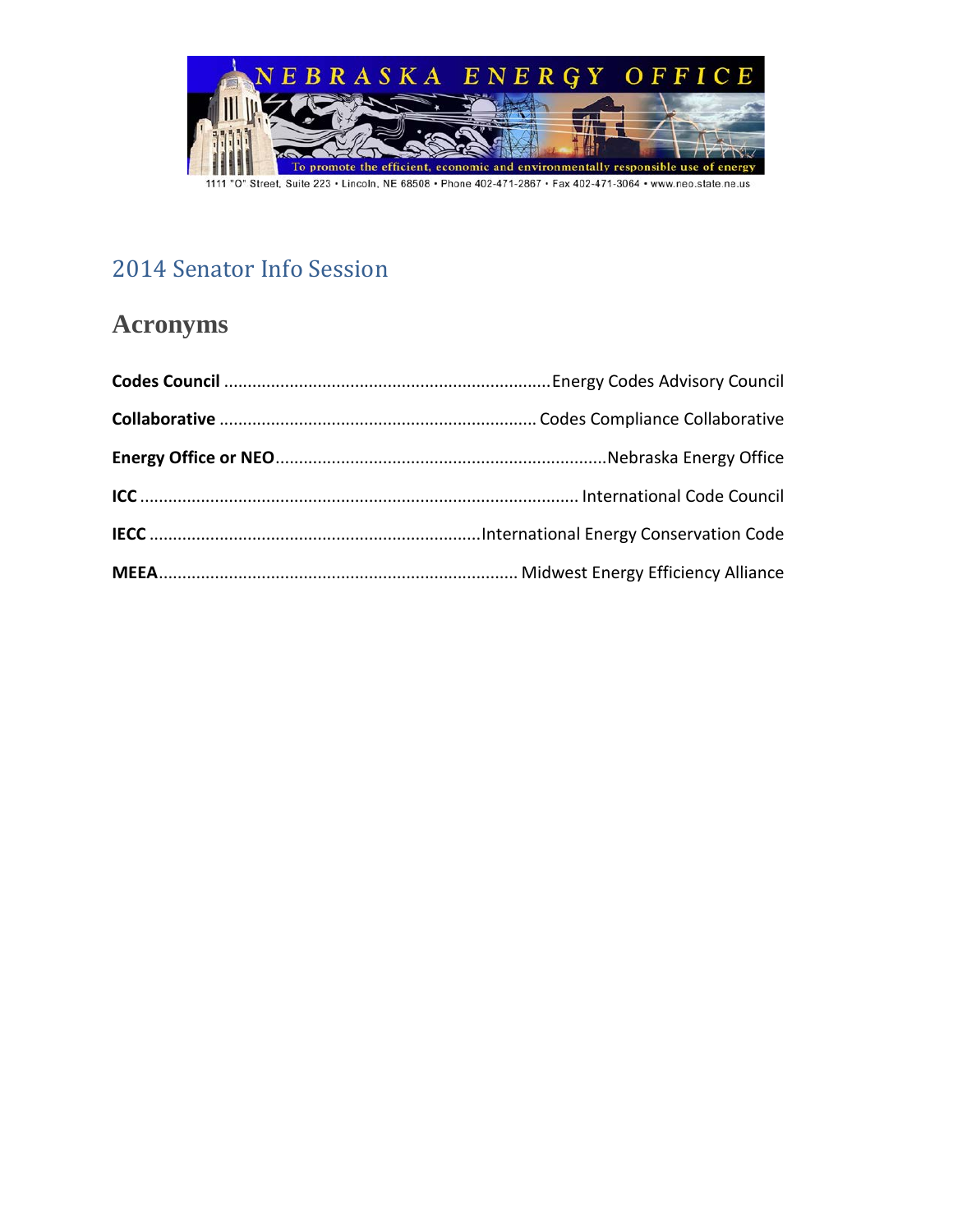

### 2014 Senator Info Session

### **Acronyms**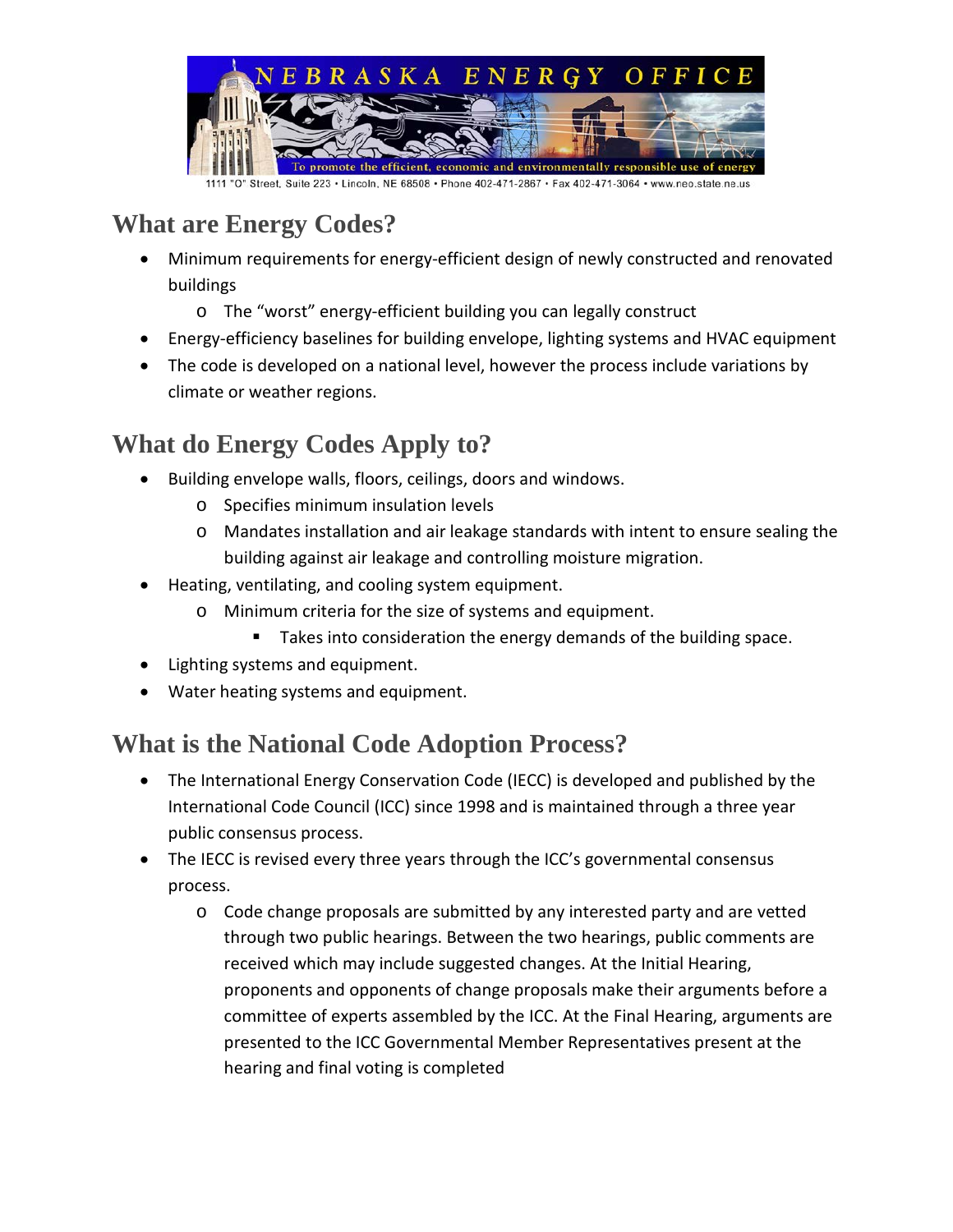

## **What are Energy Codes?**

- Minimum requirements for energy-efficient design of newly constructed and renovated buildings
	- o The "worst" energy-efficient building you can legally construct
- Energy-efficiency baselines for building envelope, lighting systems and HVAC equipment
- The code is developed on a national level, however the process include variations by climate or weather regions.

## **What do Energy Codes Apply to?**

- Building envelope walls, floors, ceilings, doors and windows.
	- o Specifies minimum insulation levels
	- o Mandates installation and air leakage standards with intent to ensure sealing the building against air leakage and controlling moisture migration.
- Heating, ventilating, and cooling system equipment.
	- o Minimum criteria for the size of systems and equipment.
		- Takes into consideration the energy demands of the building space.
- Lighting systems and equipment.
- Water heating systems and equipment.

### **What is the National Code Adoption Process?**

- The International Energy Conservation Code (IECC) is developed and published by the [International Code Council](http://www.iccsafe.org/) (ICC) since 1998 and is maintained through [a three year](http://www.iccsafe.org/cs/codes/Pages/default.aspx) [public consensus process.](http://www.iccsafe.org/cs/codes/Pages/default.aspx)
- The IECC is revised every three years through the ICC's governmental consensus [process.](http://www.iccsafe.org/cs/codes/Pages/procedures.aspx)
	- o Code change proposals are submitted by any interested party and are vetted through two public hearings. Between the two hearings, public comments are received which may include suggested changes. At the Initial Hearing, proponents and opponents of change proposals make their arguments before a committee of experts assembled by the ICC. At the Final Hearing, arguments are presented to the ICC Governmental Member Representatives present at the hearing and final voting is completed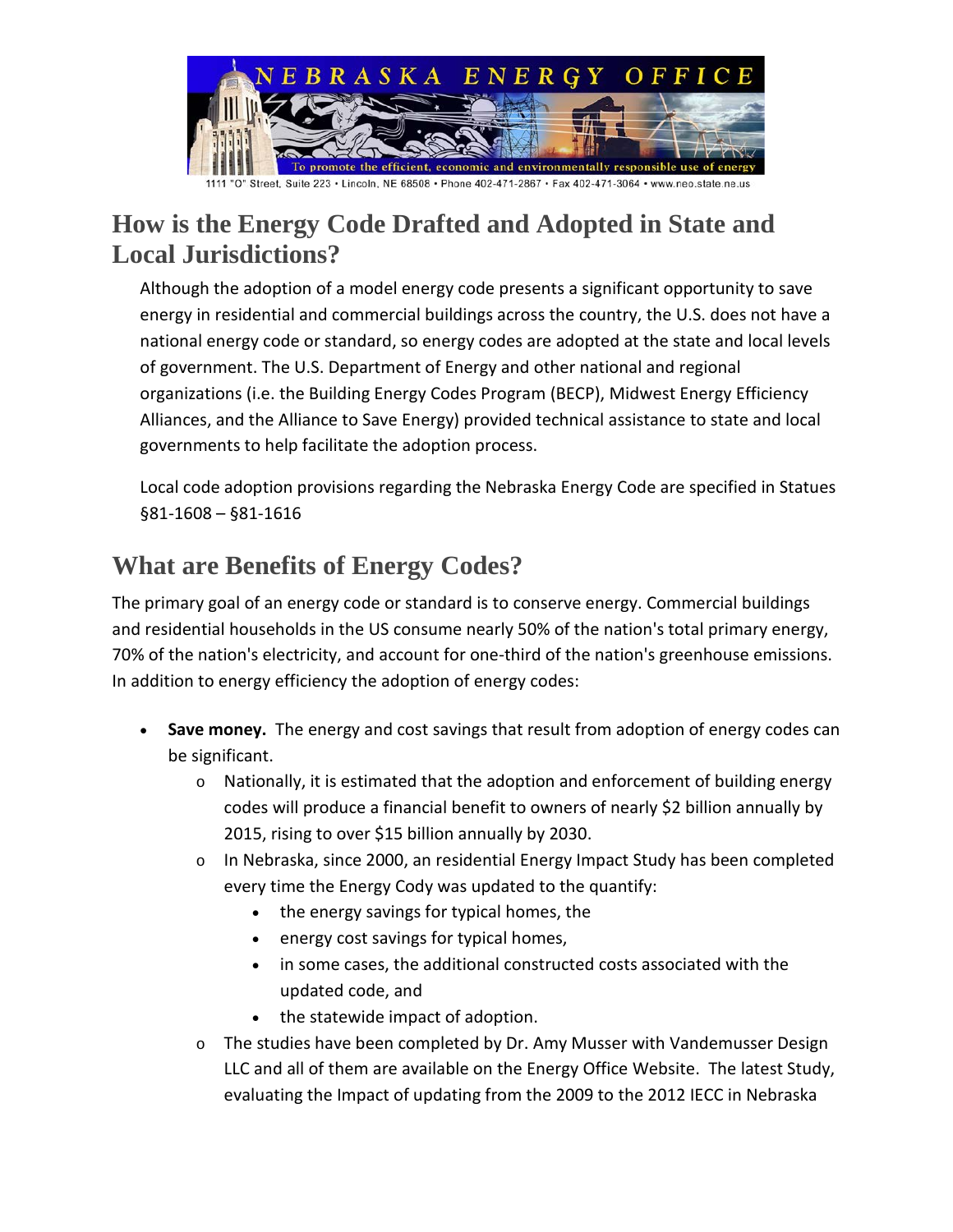

#### **How is the Energy Code Drafted and Adopted in State and Local Jurisdictions?**

Although the adoption of a model energy code presents a significant opportunity to save energy in residential and commercial buildings across the country, the U.S. does not have a national energy code or standard, so energy codes are adopted at the state and local levels of government. The U.S. Department of Energy and other national and regional organizations (i.e. the Building Energy Codes Program (BECP), Midwest Energy Efficiency Alliances, and the Alliance to Save Energy) provided [technical assistance](http://www.energycodes.gov/adoption/technical-assistance) to state and local governments to help facilitate the [adoption process.](http://www.energycodes.gov/adoption/process)

Local code adoption provisions regarding the Nebraska Energy Code are specified in Statues §81-1608 – §81-1616

## **What are Benefits of Energy Codes?**

The primary goal of an energy code or standard is to conserve energy. Commercial buildings and residential households in the US consume nearly 50% of the nation's total primary energy, 70% of the nation's electricity, and account for one-third of the nation's greenhouse emissions. In addition to energy efficiency the adoption of energy codes:

- **Save money.** The energy and cost savings that result from adoption of energy codes can be significant.
	- o Nationally, it is estimated that the adoption and enforcement of building energy codes will produce a financial benefit to owners of nearly \$2 billion annually by 2015, rising to over \$15 billion annually by 2030.
	- o In Nebraska, since 2000, an residential Energy Impact Study has been completed every time the Energy Cody was updated to the quantify:
		- the energy savings for typical homes, the
		- energy cost savings for typical homes,
		- in some cases, the additional constructed costs associated with the updated code, and
		- the statewide impact of adoption.
	- o The studies have been completed by Dr. Amy Musser with Vandemusser Design LLC and all of them are available on the Energy Office Website. The latest Study, evaluating the Impact of updating from the 2009 to the 2012 IECC in Nebraska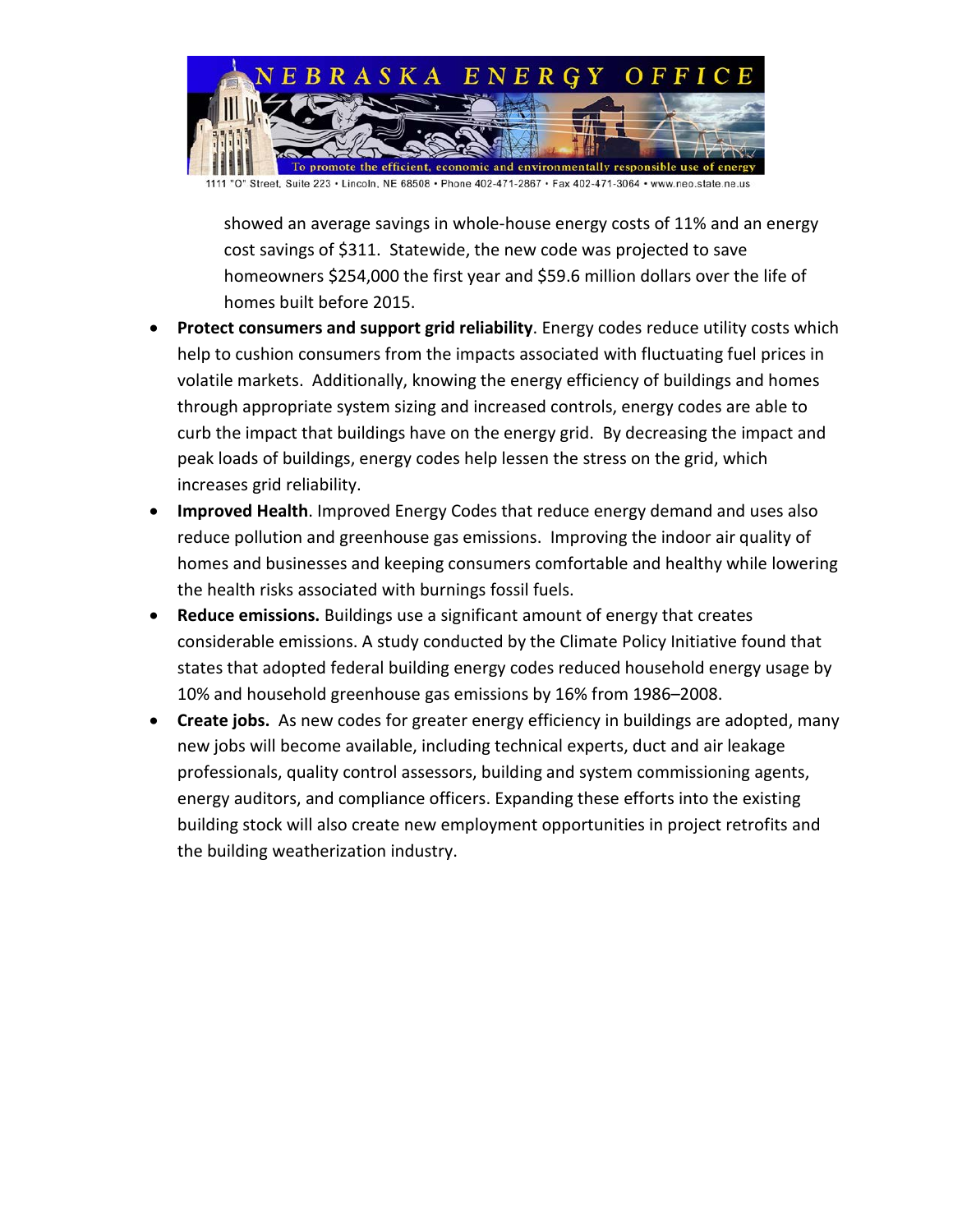

showed an average savings in whole-house energy costs of 11% and an energy cost savings of \$311. Statewide, the new code was projected to save homeowners \$254,000 the first year and \$59.6 million dollars over the life of homes built before 2015.

- **Protect consumers and support grid reliability**. Energy codes reduce utility costs which help to cushion consumers from the impacts associated with fluctuating fuel prices in volatile markets. Additionally, knowing the energy efficiency of buildings and homes through appropriate system sizing and increased controls, energy codes are able to curb the impact that buildings have on the energy grid. By decreasing the impact and peak loads of buildings, energy codes help lessen the stress on the grid, which increases grid reliability.
- **Improved Health**. Improved Energy Codes that reduce energy demand and uses also reduce pollution and greenhouse gas emissions. Improving the indoor air quality of homes and businesses and keeping consumers comfortable and healthy while lowering the health risks associated with burnings fossil fuels.
- **Reduce emissions.** Buildings use a significant amount of energy that creates considerable emissions. A [study conducted by the Climate Policy Initiative](http://climatepolicyinitiative.org/) found that states that adopted federal building energy codes reduced household energy usage by 10% and household greenhouse gas emissions by 16% from 1986–2008.
- **Create jobs.** As new codes for greater energy efficiency in buildings are adopted, many new jobs will become available, including technical experts, duct and air leakage professionals, quality control assessors, building and system commissioning agents, energy auditors, and compliance officers. Expanding these efforts into the existing building stock will also create new employment opportunities in project retrofits and the building weatherization industry.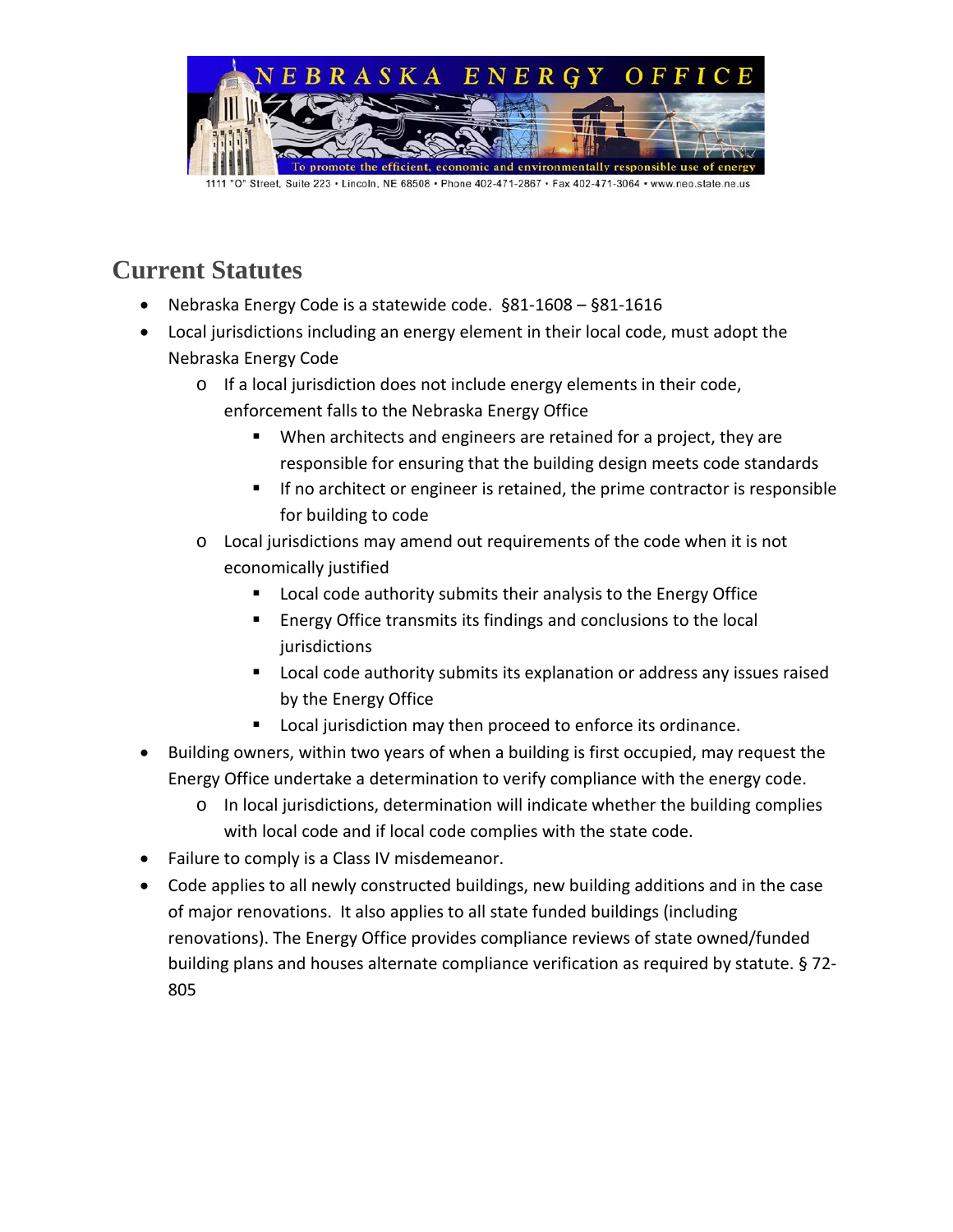

# **Current Statutes**

- Nebraska Energy Code is a statewide code. §81-1608 §81-1616
- Local jurisdictions including an energy element in their local code, must adopt the Nebraska Energy Code
	- o If a local jurisdiction does not include energy elements in their code, enforcement falls to the Nebraska Energy Office
		- When architects and engineers are retained for a project, they are responsible for ensuring that the building design meets code standards
		- **If no architect or engineer is retained, the prime contractor is responsible** for building to code
	- $\circ$  Local jurisdictions may amend out requirements of the code when it is not economically justified
		- **Local code authority submits their analysis to the Energy Office**
		- **Energy Office transmits its findings and conclusions to the local** jurisdictions
		- **Local code authority submits its explanation or address any issues raised** by the Energy Office
		- Local jurisdiction may then proceed to enforce its ordinance.
- Building owners, within two years of when a building is first occupied, may request the Energy Office undertake a determination to verify compliance with the energy code.
	- $\circ$  In local jurisdictions, determination will indicate whether the building complies with local code and if local code complies with the state code.
- Failure to comply is a Class IV misdemeanor.
- Code applies to all newly constructed buildings, new building additions and in the case of major renovations. It also applies to all state funded buildings (including renovations). The Energy Office provides compliance reviews of state owned/funded building plans and houses alternate compliance verification as required by statute. § 72- 805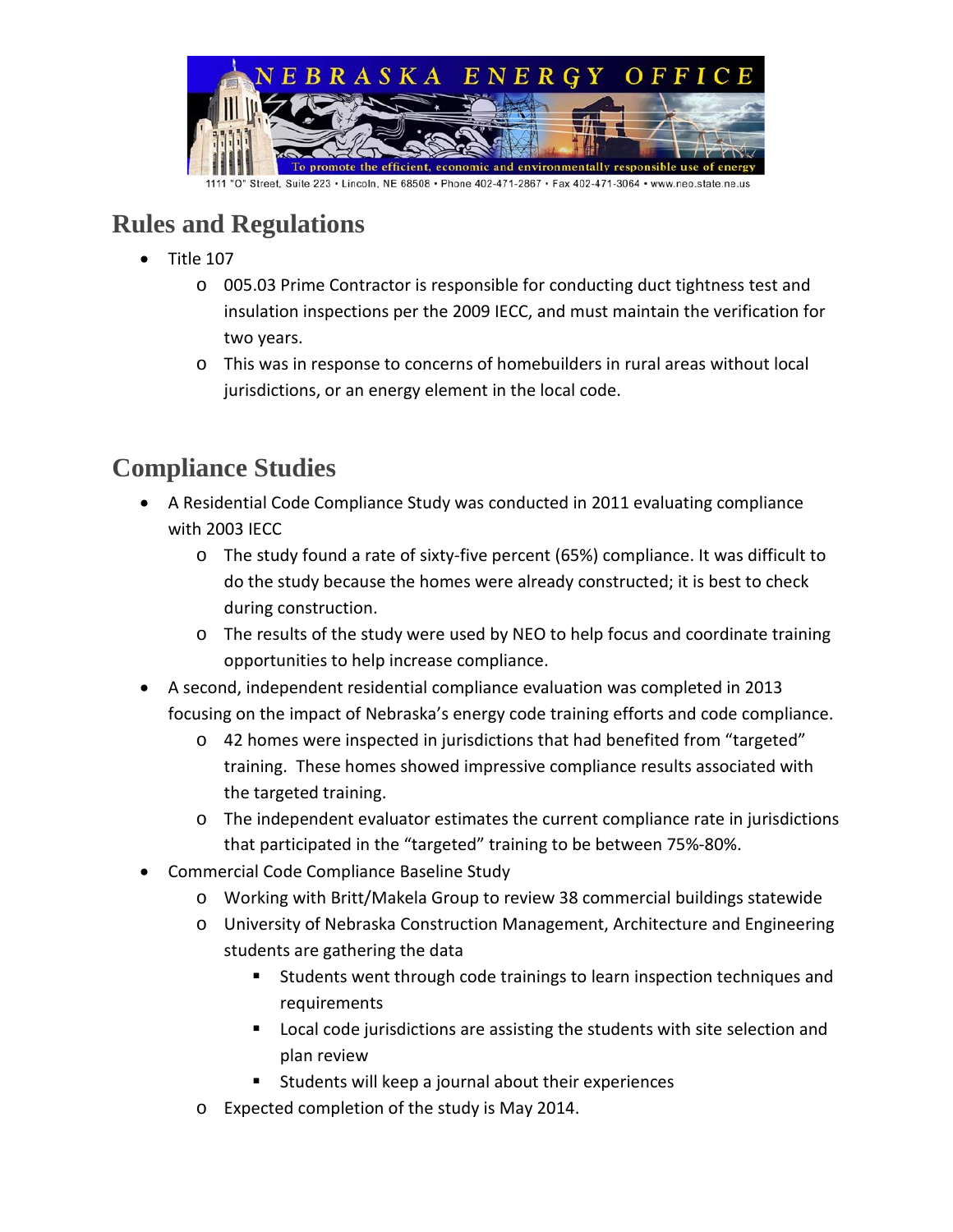

## **Rules and Regulations**

- Title 107
	- $\circ$  005.03 Prime Contractor is responsible for conducting duct tightness test and insulation inspections per the 2009 IECC, and must maintain the verification for two years.
	- o This was in response to concerns of homebuilders in rural areas without local jurisdictions, or an energy element in the local code.

#### **Compliance Studies**

- A Residential Code Compliance Study was conducted in 2011 evaluating compliance with 2003 IECC
	- o The study found a rate of sixty-five percent (65%) compliance. It was difficult to do the study because the homes were already constructed; it is best to check during construction.
	- $\circ$  The results of the study were used by NEO to help focus and coordinate training opportunities to help increase compliance.
- A second, independent residential compliance evaluation was completed in 2013 focusing on the impact of Nebraska's energy code training efforts and code compliance.
	- o 42 homes were inspected in jurisdictions that had benefited from "targeted" training. These homes showed impressive compliance results associated with the targeted training.
	- o The independent evaluator estimates the current compliance rate in jurisdictions that participated in the "targeted" training to be between 75%-80%.
- Commercial Code Compliance Baseline Study
	- o Working with Britt/Makela Group to review 38 commercial buildings statewide
	- o University of Nebraska Construction Management, Architecture and Engineering students are gathering the data
		- Students went through code trainings to learn inspection techniques and requirements
		- **Local code jurisdictions are assisting the students with site selection and** plan review
		- **Students will keep a journal about their experiences**
	- o Expected completion of the study is May 2014.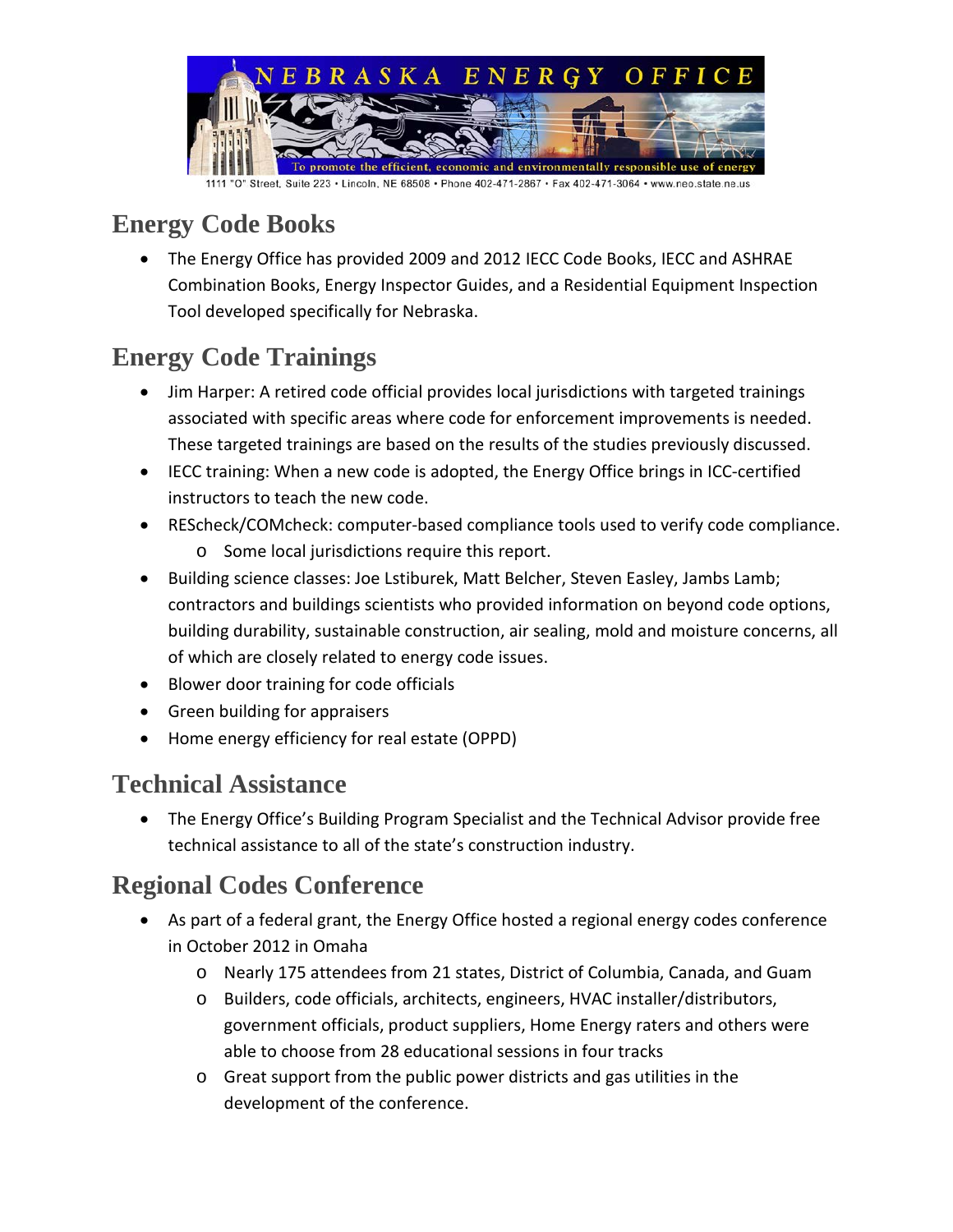

### **Energy Code Books**

• The Energy Office has provided 2009 and 2012 IECC Code Books, IECC and ASHRAE Combination Books, Energy Inspector Guides, and a Residential Equipment Inspection Tool developed specifically for Nebraska.

# **Energy Code Trainings**

- Jim Harper: A retired code official provides local jurisdictions with targeted trainings associated with specific areas where code for enforcement improvements is needed. These targeted trainings are based on the results of the studies previously discussed.
- IECC training: When a new code is adopted, the Energy Office brings in ICC-certified instructors to teach the new code.
- REScheck/COMcheck: computer-based compliance tools used to verify code compliance.
	- o Some local jurisdictions require this report.
- Building science classes: Joe Lstiburek, Matt Belcher, Steven Easley, Jambs Lamb; contractors and buildings scientists who provided information on beyond code options, building durability, sustainable construction, air sealing, mold and moisture concerns, all of which are closely related to energy code issues.
- Blower door training for code officials
- Green building for appraisers
- Home energy efficiency for real estate (OPPD)

## **Technical Assistance**

• The Energy Office's Building Program Specialist and the Technical Advisor provide free technical assistance to all of the state's construction industry.

## **Regional Codes Conference**

- As part of a federal grant, the Energy Office hosted a regional energy codes conference in October 2012 in Omaha
	- o Nearly 175 attendees from 21 states, District of Columbia, Canada, and Guam
	- o Builders, code officials, architects, engineers, HVAC installer/distributors, government officials, product suppliers, Home Energy raters and others were able to choose from 28 educational sessions in four tracks
	- o Great support from the public power districts and gas utilities in the development of the conference.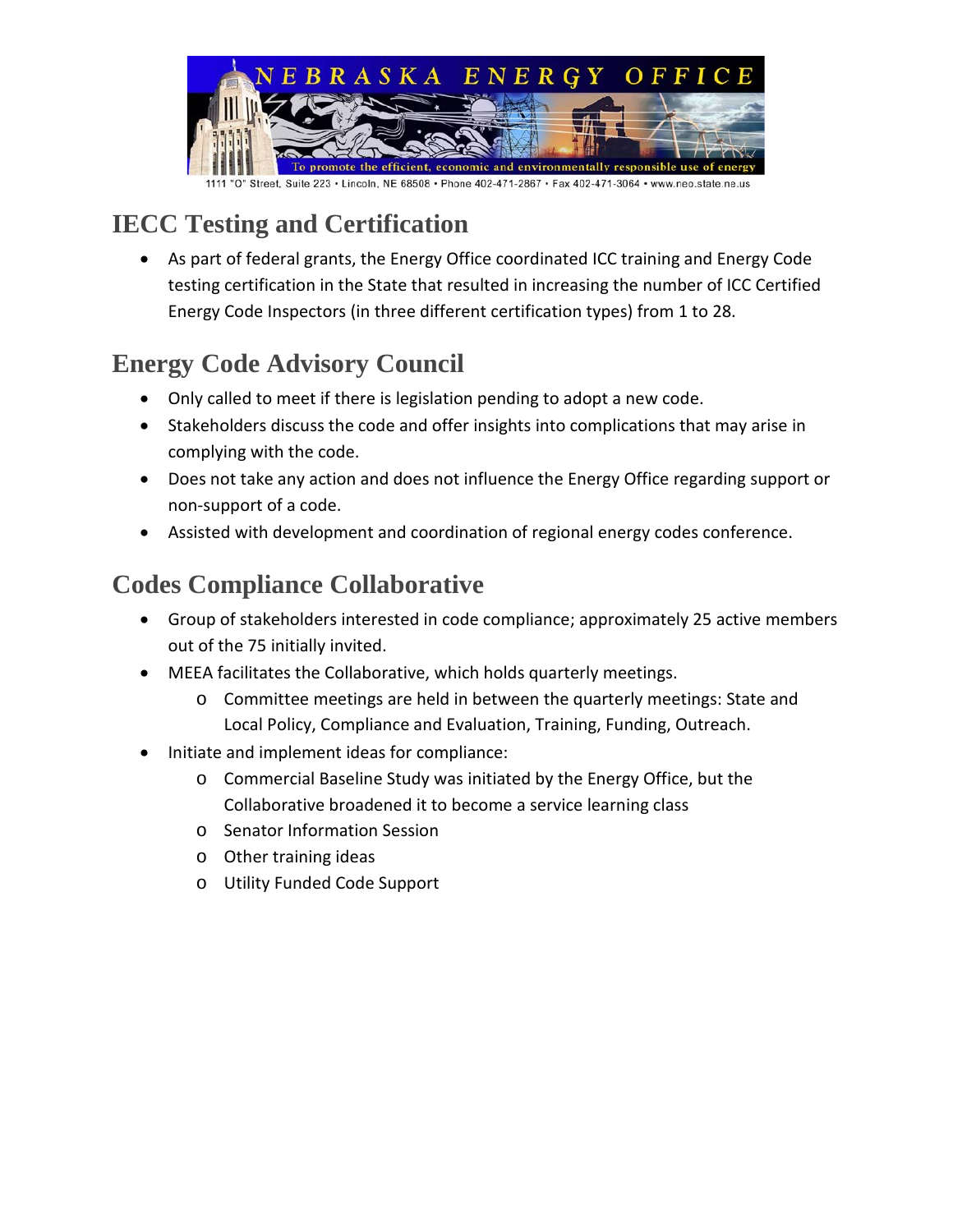

## **IECC Testing and Certification**

• As part of federal grants, the Energy Office coordinated ICC training and Energy Code testing certification in the State that resulted in increasing the number of ICC Certified Energy Code Inspectors (in three different certification types) from 1 to 28.

# **Energy Code Advisory Council**

- Only called to meet if there is legislation pending to adopt a new code.
- Stakeholders discuss the code and offer insights into complications that may arise in complying with the code.
- Does not take any action and does not influence the Energy Office regarding support or non-support of a code.
- Assisted with development and coordination of regional energy codes conference.

## **Codes Compliance Collaborative**

- Group of stakeholders interested in code compliance; approximately 25 active members out of the 75 initially invited.
- MEEA facilitates the Collaborative, which holds quarterly meetings.
	- o Committee meetings are held in between the quarterly meetings: State and Local Policy, Compliance and Evaluation, Training, Funding, Outreach.
- Initiate and implement ideas for compliance:
	- o Commercial Baseline Study was initiated by the Energy Office, but the Collaborative broadened it to become a service learning class
	- o Senator Information Session
	- o Other training ideas
	- o Utility Funded Code Support